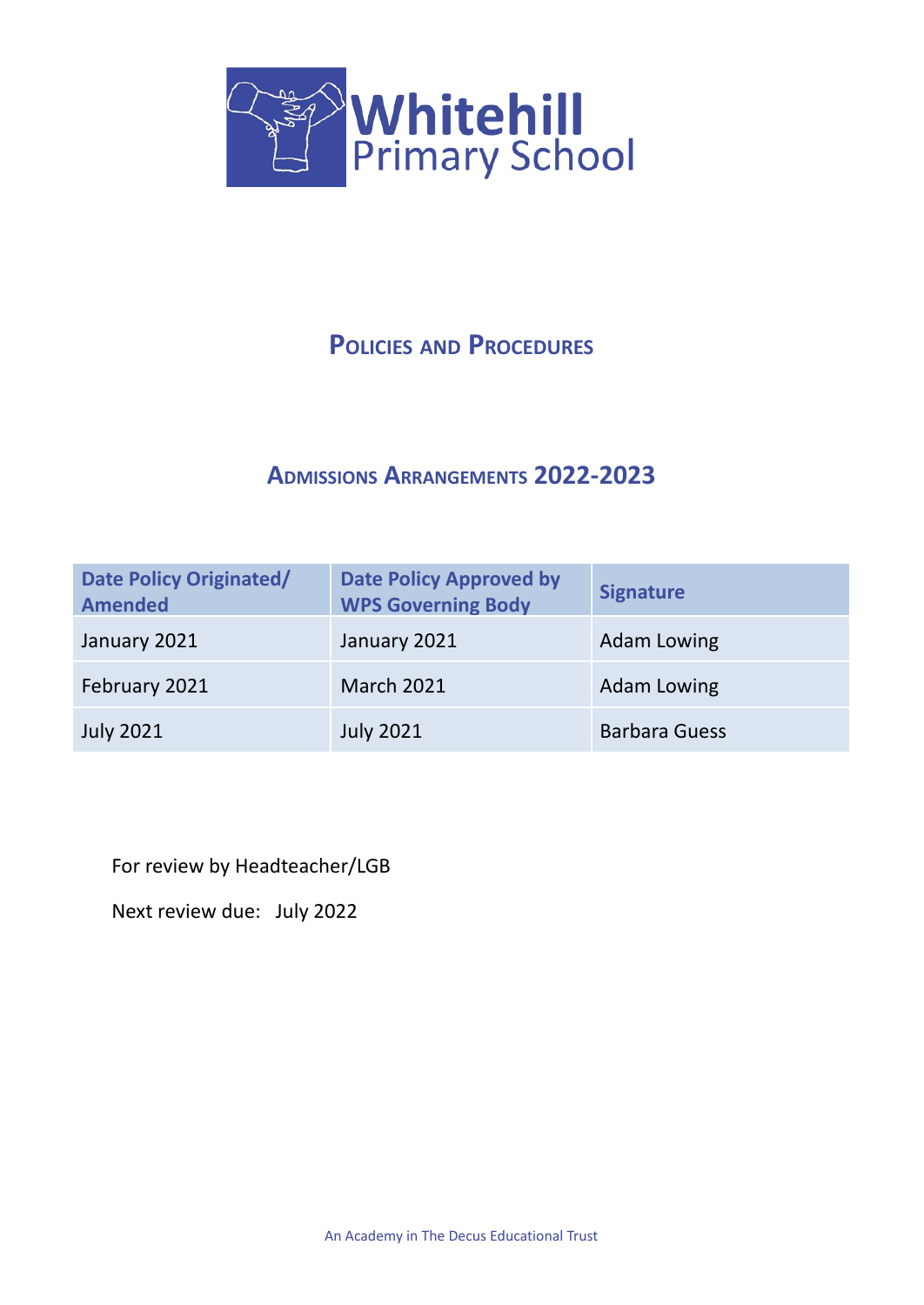

# **POLICIES AND PROCEDURES**

# **ADMISSIONS ARRANGEMENTS 2022-2023**

| Date Policy Originated/<br><b>Amended</b> | <b>Date Policy Approved by</b><br><b>WPS Governing Body</b> | <b>Signature</b>     |
|-------------------------------------------|-------------------------------------------------------------|----------------------|
| January 2021                              | January 2021                                                | <b>Adam Lowing</b>   |
| February 2021                             | <b>March 2021</b>                                           | <b>Adam Lowing</b>   |
| <b>July 2021</b>                          | <b>July 2021</b>                                            | <b>Barbara Guess</b> |

For review by Headteacher/LGB

Next review due: July 2022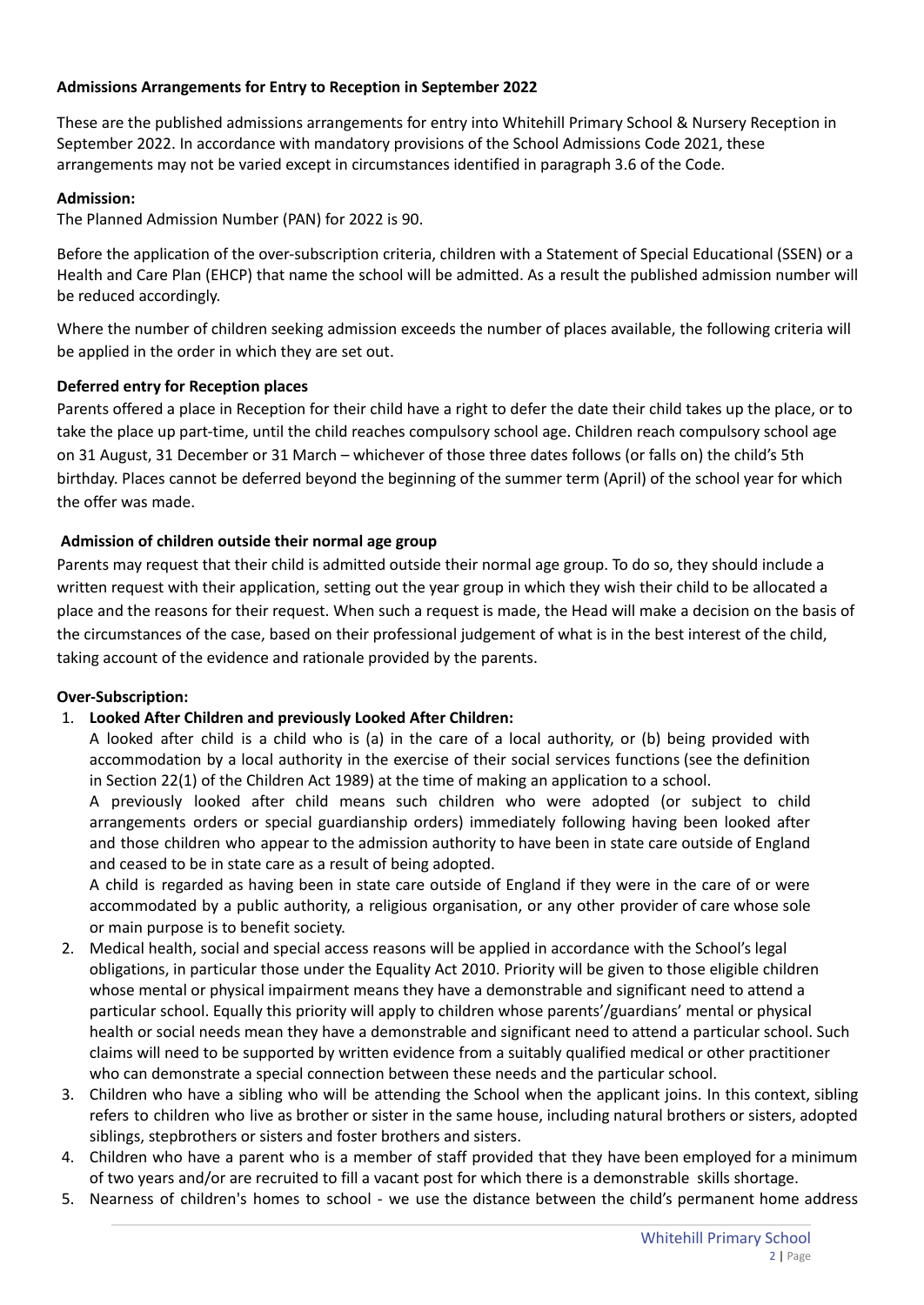## **Admissions Arrangements for Entry to Reception in September 2022**

These are the published admissions arrangements for entry into Whitehill Primary School & Nursery Reception in September 2022. In accordance with mandatory provisions of the School Admissions Code 2021, these arrangements may not be varied except in circumstances identified in paragraph 3.6 of the Code.

### **Admission:**

The Planned Admission Number (PAN) for 2022 is 90.

Before the application of the over-subscription criteria, children with a Statement of Special Educational (SSEN) or a Health and Care Plan (EHCP) that name the school will be admitted. As a result the published admission number will be reduced accordingly.

Where the number of children seeking admission exceeds the number of places available, the following criteria will be applied in the order in which they are set out.

# **Deferred entry for Reception places**

Parents offered a place in Reception for their child have a right to defer the date their child takes up the place, or to take the place up part-time, until the child reaches compulsory school age. Children reach compulsory school age on 31 August, 31 December or 31 March – whichever of those three dates follows (or falls on) the child's 5th birthday. Places cannot be deferred beyond the beginning of the summer term (April) of the school year for which the offer was made.

# **Admission of children outside their normal age group**

Parents may request that their child is admitted outside their normal age group. To do so, they should include a written request with their application, setting out the year group in which they wish their child to be allocated a place and the reasons for their request. When such a request is made, the Head will make a decision on the basis of the circumstances of the case, based on their professional judgement of what is in the best interest of the child, taking account of the evidence and rationale provided by the parents.

### **Over-Subscription:**

# 1. **Looked After Children and previously Looked After Children:**

A looked after child is a child who is (a) in the care of a local authority, or (b) being provided with accommodation by a local authority in the exercise of their social services functions (see the definition in Section 22(1) of the Children Act 1989) at the time of making an application to a school.

A previously looked after child means such children who were adopted (or subject to child arrangements orders or special guardianship orders) immediately following having been looked after and those children who appear to the admission authority to have been in state care outside of England and ceased to be in state care as a result of being adopted.

A child is regarded as having been in state care outside of England if they were in the care of or were accommodated by a public authority, a religious organisation, or any other provider of care whose sole or main purpose is to benefit society.

- 2. Medical health, social and special access reasons will be applied in accordance with the School's legal obligations, in particular those under the Equality Act 2010. Priority will be given to those eligible children whose mental or physical impairment means they have a demonstrable and significant need to attend a particular school. Equally this priority will apply to children whose parents'/guardians' mental or physical health or social needs mean they have a demonstrable and significant need to attend a particular school. Such claims will need to be supported by written evidence from a suitably qualified medical or other practitioner who can demonstrate a special connection between these needs and the particular school.
- 3. Children who have a sibling who will be attending the School when the applicant joins. In this context, sibling refers to children who live as brother or sister in the same house, including natural brothers or sisters, adopted siblings, stepbrothers or sisters and foster brothers and sisters.
- 4. Children who have a parent who is a member of staff provided that they have been employed for a minimum of two years and/or are recruited to fill a vacant post for which there is a demonstrable skills shortage.
- 5. Nearness of children's homes to school we use the distance between the child's permanent home address